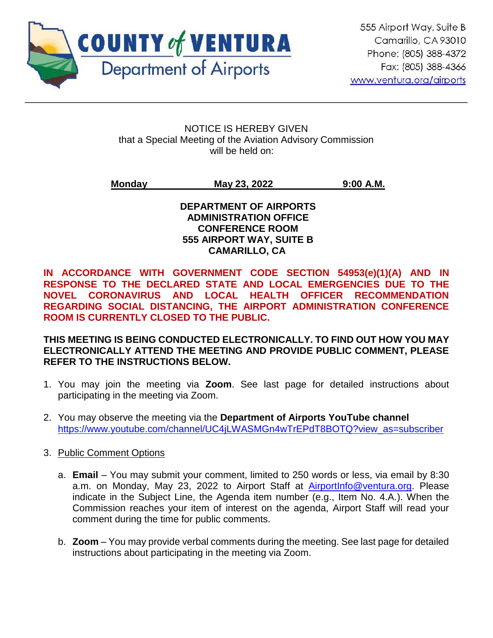

ֺ

#### NOTICE IS HEREBY GIVEN that a Special Meeting of the Aviation Advisory Commission will be held on:

# **Monday May 23, 2022 9:00 A.M.**

#### **DEPARTMENT OF AIRPORTS ADMINISTRATION OFFICE CONFERENCE ROOM 555 AIRPORT WAY, SUITE B CAMARILLO, CA**

**IN ACCORDANCE WITH GOVERNMENT CODE SECTION 54953(e)(1)(A) AND IN RESPONSE TO THE DECLARED STATE AND LOCAL EMERGENCIES DUE TO THE NOVEL CORONAVIRUS AND LOCAL HEALTH OFFICER RECOMMENDATION REGARDING SOCIAL DISTANCING, THE AIRPORT ADMINISTRATION CONFERENCE ROOM IS CURRENTLY CLOSED TO THE PUBLIC.** 

### **THIS MEETING IS BEING CONDUCTED ELECTRONICALLY. TO FIND OUT HOW YOU MAY ELECTRONICALLY ATTEND THE MEETING AND PROVIDE PUBLIC COMMENT, PLEASE REFER TO THE INSTRUCTIONS BELOW.**

- 1. You may join the meeting via **Zoom**. See last page for detailed instructions about participating in the meeting via Zoom.
- 2. You may observe the meeting via the **Department of Airports YouTube channel** [https://www.youtube.com/channel/UC4jLWASMGn4wTrEPdT8BOTQ?view\\_as=subscriber](https://www.youtube.com/channel/UC4jLWASMGn4wTrEPdT8BOTQ?view_as=subscriber)
- 3. Public Comment Options
	- a. **Email** You may submit your comment, limited to 250 words or less, via email by 8:30 a.m. on Monday, May 23, 2022 to Airport Staff at [AirportInfo@ventura.org.](mailto:AirportInfo@ventura.org) Please indicate in the Subject Line, the Agenda item number (e.g., Item No. 4.A.). When the Commission reaches your item of interest on the agenda, Airport Staff will read your comment during the time for public comments.
	- b. **Zoom** You may provide verbal comments during the meeting. See last page for detailed instructions about participating in the meeting via Zoom.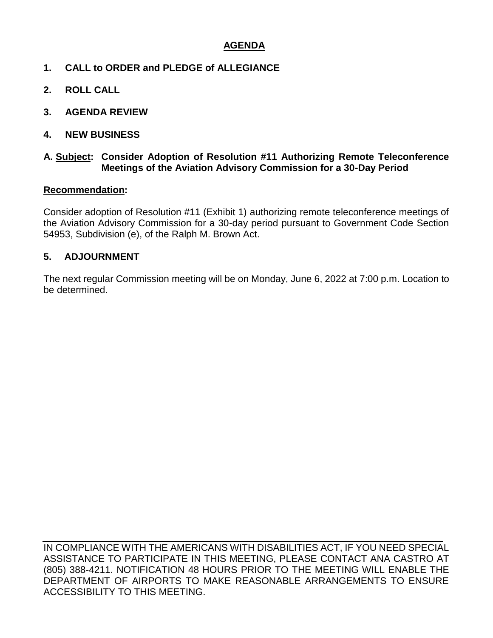## **AGENDA**

- **1. CALL to ORDER and PLEDGE of ALLEGIANCE**
- **2. ROLL CALL**
- **3. AGENDA REVIEW**
- **4. NEW BUSINESS**

#### **A. Subject: Consider Adoption of Resolution #11 Authorizing Remote Teleconference Meetings of the Aviation Advisory Commission for a 30-Day Period**

#### **Recommendation:**

Consider adoption of Resolution #11 (Exhibit 1) authorizing remote teleconference meetings of the Aviation Advisory Commission for a 30-day period pursuant to Government Code Section 54953, Subdivision (e), of the Ralph M. Brown Act.

#### **5. ADJOURNMENT**

The next regular Commission meeting will be on Monday, June 6, 2022 at 7:00 p.m. Location to be determined.

IN COMPLIANCE WITH THE AMERICANS WITH DISABILITIES ACT, IF YOU NEED SPECIAL ASSISTANCE TO PARTICIPATE IN THIS MEETING, PLEASE CONTACT ANA CASTRO AT (805) 388-4211. NOTIFICATION 48 HOURS PRIOR TO THE MEETING WILL ENABLE THE DEPARTMENT OF AIRPORTS TO MAKE REASONABLE ARRANGEMENTS TO ENSURE ACCESSIBILITY TO THIS MEETING.